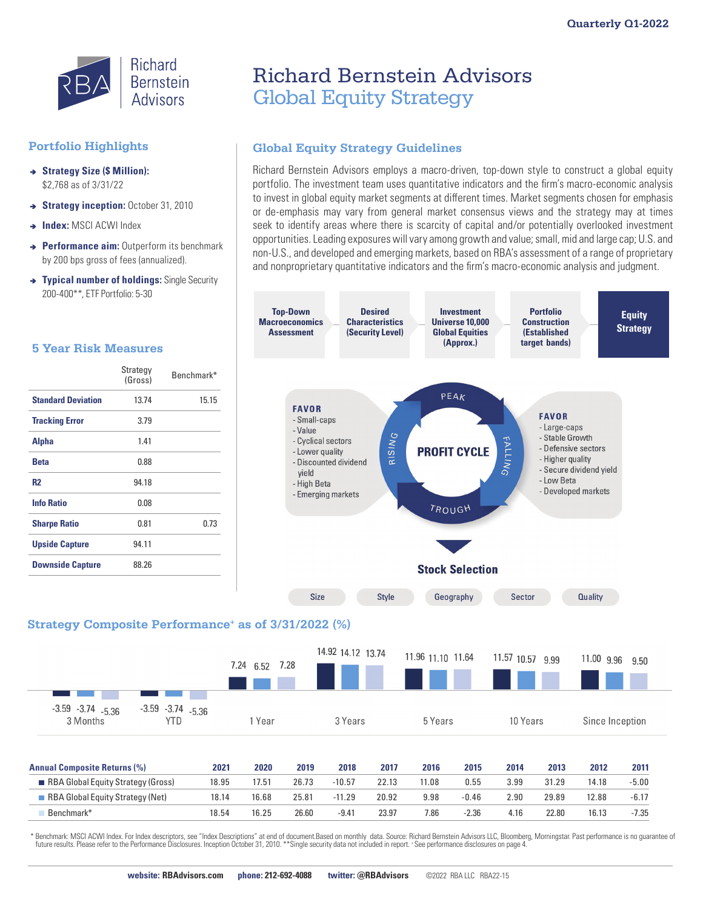

### **Portfolio Highlights**

- **→ Strategy Size (\$ Million):** \$2,768 as of 3/31/22
- $\rightarrow$  **Strategy inception:** October 31, 2010
- **a** Index: MSCI ACWI Index
- <sup>â</sup> **Performance aim:** Outperform its benchmark by 200 bps gross of fees (annualized).
- **→ Typical number of holdings:** Single Security 200-400\*\*, ETF Portfolio: 5-30

#### **5 Year Risk Measures**

 $-3.59 - 3.74 - 5.36$ 

3 Months

 $-3.74$   $-5.36$ 

**YTD** 

 $-3.59$ 

|                           | Strategy<br>(Gross) | Benchmark* |
|---------------------------|---------------------|------------|
| <b>Standard Deviation</b> | 13.74               | 15.15      |
| <b>Tracking Error</b>     | 3.79                |            |
| <b>Alpha</b>              | 1.41                |            |
| <b>Beta</b>               | 0.88                |            |
| <b>R2</b>                 | 94.18               |            |
| <b>Info Ratio</b>         | 0.08                |            |
| <b>Sharpe Ratio</b>       | 0.81                | 0.73       |
| <b>Upside Capture</b>     | 94.11               |            |
| <b>Downside Capture</b>   | 88.26               |            |

# Richard Bernstein Advisors Global Equity Strategy

## **Global Equity Strategy Guidelines**

Richard Bernstein Advisors employs a macro-driven, top-down style to construct a global equity portfolio. The investment team uses quantitative indicators and the firm's macro-economic analysis to invest in global equity market segments at different times. Market segments chosen for emphasis or de-emphasis may vary from general market consensus views and the strategy may at times seek to identify areas where there is scarcity of capital and/or potentially overlooked investment opportunities. Leading exposures will vary among growth and value; small, mid and large cap; U.S. and non-U.S., and developed and emerging markets, based on RBA's assessment of a range of proprietary and nonproprietary quantitative indicators and the firm's macro-economic analysis and judgment.



| <b>Annual Composite Returns (%)</b> | 2021  | 2020  | 2019  | 2018     | 2017  | 2016 | 2015    | 2014 | 2013  | 2012  | 2011    |
|-------------------------------------|-------|-------|-------|----------|-------|------|---------|------|-------|-------|---------|
| RBA Global Equity Strategy (Gross)  | 18.95 | 17.51 | 26.73 | $-10.57$ | 22.13 | 1.08 | 0.55    | 3.99 | 31.29 | 14.18 | -5.00   |
| RBA Global Equity Strategy (Net)    | 18.14 | 16.68 | 25.81 | $-11.29$ | 20.92 | 9.98 | -0.46   | 2.90 | 29.89 | 12.88 | $-6.17$ |
| Benchmark*                          | 18.54 | 16.25 | 26.60 | $-9.47$  | 23.97 | 7.86 | $-2.36$ | 4.16 | 22.80 | 16.13 | $-7.35$ |

\* Benchmark: MSCI ACWI Index. For Index descriptors, see "Index Descriptions" at end of document.Based on monthly data. Source: Richard Bernstein Advisors LLC, Bloomberg, Morningstar. Past performance is no guarantee of<br>fu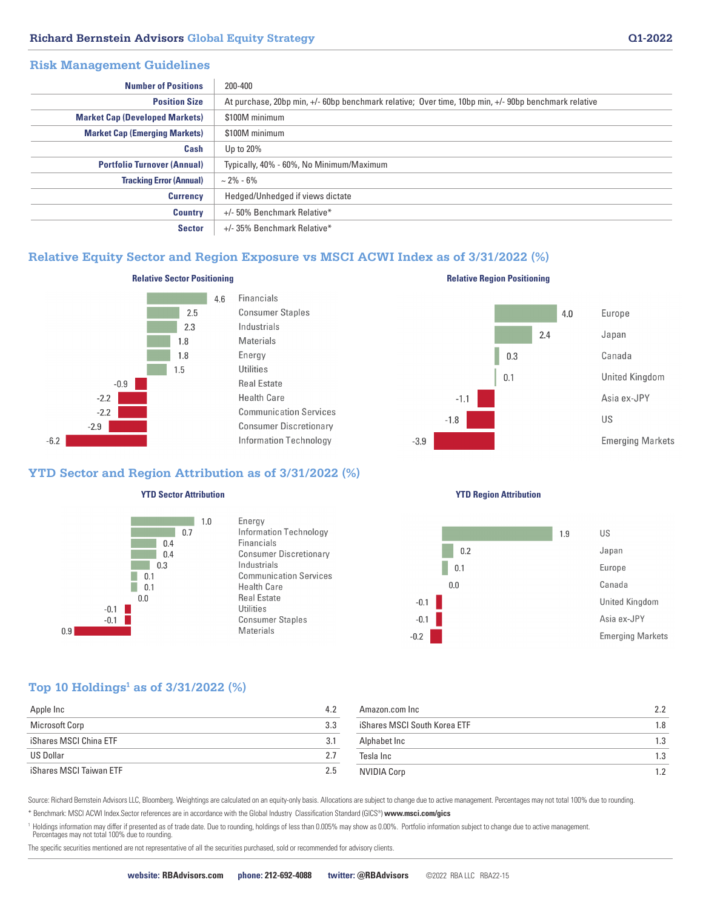#### **Richard Bernstein Advisors Global Equity Strategy Q1-2022**

#### **Risk Management Guidelines**

| <b>Number of Positions</b>            | 200-400                                                                                              |
|---------------------------------------|------------------------------------------------------------------------------------------------------|
|                                       |                                                                                                      |
| <b>Position Size</b>                  | At purchase, 20bp min, +/- 60bp benchmark relative; Over time, 10bp min, +/- 90bp benchmark relative |
| <b>Market Cap (Developed Markets)</b> | \$100M minimum                                                                                       |
| <b>Market Cap (Emerging Markets)</b>  | \$100M minimum                                                                                       |
| Cash                                  | Up to 20%                                                                                            |
| <b>Portfolio Turnover (Annual)</b>    | Typically, 40% - 60%, No Minimum/Maximum                                                             |
| <b>Tracking Error (Annual)</b>        | $\sim$ 2% - 6%                                                                                       |
| <b>Currency</b>                       | Hedged/Unhedged if views dictate                                                                     |
| <b>Country</b>                        | +/- 50% Benchmark Relative*                                                                          |
| <b>Sector</b>                         | +/-35% Benchmark Relative*                                                                           |

#### **Relative Equity Sector and Region Exposure vs MSCI ACWI Index as of 3/31/2022 (%)**



#### **Relative Sector Positioning**

 $46$ 



#### **YTD Sector and Region Attribution as of 3/31/2022 (%)**



#### **YTD Sector Attribution**

Energy Information Technology Financials **Consumer Discretionary** Industrials **Communication Services Health Care Real Estate Utilities Consumer Staples** Materials

#### **YTD Region Attribution**

**Relative Region Positioning**



#### **Top 10 Holdings1 as of 3/31/2022 (%)**

 $0.9$ 

| Apple Inc               | 4.2<br>Amazon.com Inc               | 2.2 |
|-------------------------|-------------------------------------|-----|
| Microsoft Corp          | iShares MSCI South Korea ETF<br>3.3 | 1.8 |
| iShares MSCI China ETF  | Alphabet Inc<br>3.1                 | 1.3 |
| US Dollar               | 2.7<br>Tesla Inc                    | 1.3 |
| iShares MSCI Taiwan ETF | 2.5<br>NVIDIA Corp                  | 1.2 |

Source: Richard Bernstein Advisors LLC, Bloomberg. Weightings are calculated on an equity-only basis. Allocations are subject to change due to active management. Percentages may not total 100% due to rounding. \* Benchmark: MSCI ACWI Index.Sector references are in accordance with the Global Industry Classification Standard (GICS®) **www.msci.com/gics**

<sup>1</sup> Holdings information may differ if presented as of trade date. Due to rounding, holdings of less than 0.005% may show as 0.00%. Portfolio information subject to change due to active management. Percentages may not total 100% due to rounding.

The specific securities mentioned are not representative of all the securities purchased, sold or recommended for advisory clients.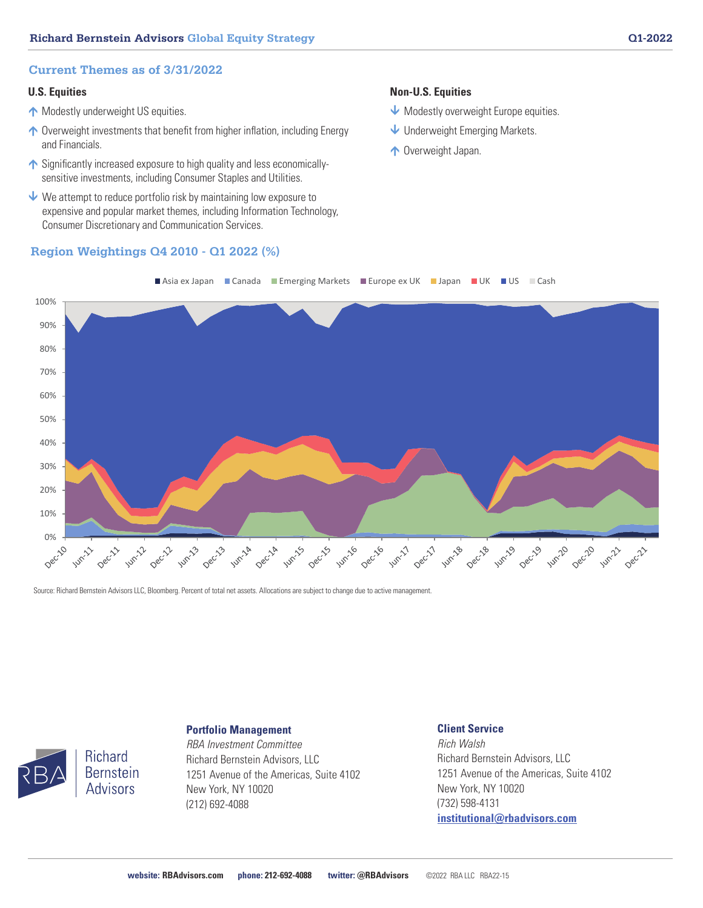#### **Current Themes as of 3/31/2022**

#### **U.S. Equities**

- **Modestly underweight US equities.**
- ↑ Overweight investments that benefit from higher inflation, including Energy and Financials.
- ↑ Significantly increased exposure to high quality and less economicallysensitive investments, including Consumer Staples and Utilities.
- $\vee$  We attempt to reduce portfolio risk by maintaining low exposure to expensive and popular market themes, including Information Technology, Consumer Discretionary and Communication Services.

#### **Region Weightings Q4 2010 - Q1 2022 (%)**

#### **Non-U.S. Equities**

- Modestly overweight Europe equities.
- Underweight Emerging Markets.
- ↑ Overweight Japan.



Source: Richard Bernstein Advisors LLC, Bloomberg. Percent of total net assets. Allocations are subject to change due to active management.



**Richard Bernstein Advisors** 

## **Portfolio Management**

*RBA Investment Committee* Richard Bernstein Advisors, LLC 1251 Avenue of the Americas, Suite 4102 New York, NY 10020 (212) 692-4088

#### **Client Service**

*Rich Walsh* Richard Bernstein Advisors, LLC 1251 Avenue of the Americas, Suite 4102 New York, NY 10020 (732) 598-4131 **institutional@rbadvisors.com**